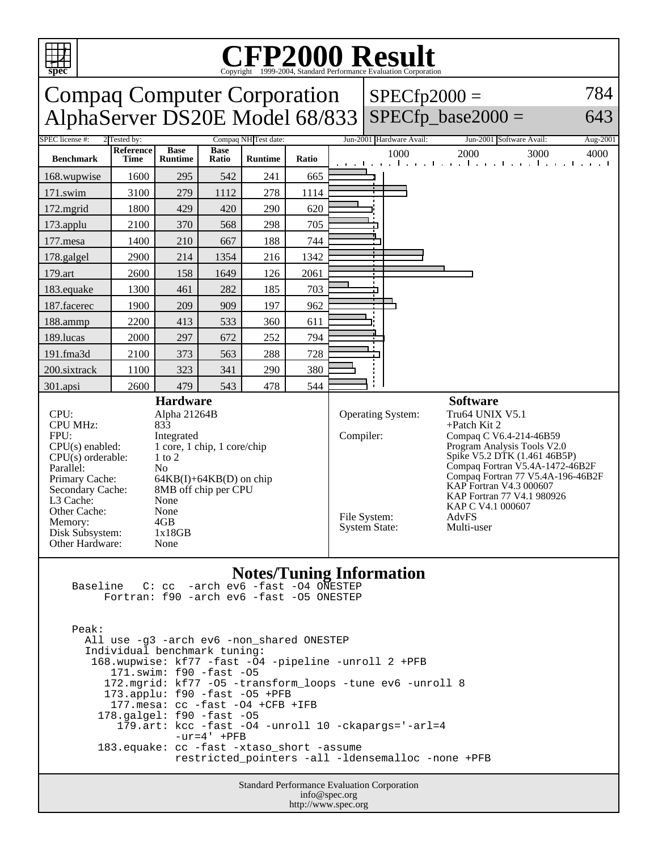| 784<br><b>Compaq Computer Corporation</b><br>$SPECfp2000 =$<br>$SPECfp\_base2000 =$<br>AlphaServer DS20E Model 68/833<br>643<br><b>SPEC</b> license #:<br>Compaq NH Test date:<br>Jun-2001 Hardware Avail:<br>2 Tested by:<br>Jun-2001 Software Avail:<br><b>Reference</b><br><b>Base</b><br><b>Base</b><br>1000<br>2000<br>3000<br>4000<br><b>Benchmark</b><br><b>Time</b><br><b>Runtime</b><br>Ratio<br><b>Runtime</b><br>Ratio<br>and the collection of the collection of the collection of the coll<br>542<br>665<br>1600<br>295<br>241<br>168.wupwise<br>278<br>171.swim<br>3100<br>279<br>1112<br>1114<br>620<br>429<br>420<br>290<br>172.mgrid<br>1800<br>705<br>173.applu<br>2100<br>370<br>568<br>298<br>188<br>744<br>177.mesa<br>1400<br>210<br>667<br>1342<br>2900<br>1354<br>216<br>178.galgel<br>214<br>179.art<br>158<br>1649<br>2061<br>2600<br>126<br>282<br>185<br>703<br>183.equake<br>1300<br>461<br>187.facerec<br>209<br>909<br>197<br>962<br>1900<br>611<br>2200<br>413<br>533<br>360<br>188.ammp<br>794<br>189.lucas<br>2000<br>297<br>672<br>252<br>728<br>191.fma3d<br>288<br>2100<br>373<br>563<br>380<br>200.sixtrack<br>323<br>290<br>1100<br>341<br>479<br>478<br>544<br>2600<br>543<br>301.apsi<br><b>Hardware</b><br><b>Software</b><br>CPU:<br>Alpha 21264B<br>Operating System:<br>Tru64 UNIX V5.1<br>CPU MHz:<br>833<br>$+$ Patch Kit 2<br>FPU:<br>Compiler:<br>Integrated<br>Compaq C V6.4-214-46B59<br>Program Analysis Tools V2.0<br>$CPU(s)$ enabled:<br>1 core, 1 chip, 1 core/chip<br>Spike V5.2 DTK (1.461 46B5P)<br>$CPU(s)$ orderable:<br>$1$ to $2$<br>Compaq Fortran V5.4A-1472-46B2F<br>N <sub>o</sub><br>Parallel:<br>Compaq Fortran 77 V5.4A-196-46B2F<br>$64KB(I) + 64KB(D)$ on chip<br>Primary Cache:<br>KAP Fortran V4.3 000607<br>8MB off chip per CPU<br>Secondary Cache:<br>KAP Fortran 77 V4.1 980926<br>L3 Cache:<br>None<br>KAP C V4.1 000607<br>Other Cache:<br>None<br>File System:<br>AdvFS<br>4GB<br>Memory:<br><b>System State:</b><br>Multi-user<br>Disk Subsystem:<br>1x18GB<br>Other Hardware:<br>None<br><b>Notes/Tuning Information</b><br>$C:$ $cc$ $-$ arch $ev6$ $-$ fast $-$ 04 $0$ NESTEP<br>Baseline<br>Fortran: f90 -arch ev6 -fast -05 ONESTEP<br>Peak:<br>All use -g3 -arch ev6 -non_shared ONESTEP<br>Individual benchmark tuning:<br>168.wupwise: kf77 -fast -04 -pipeline -unroll 2 +PFB<br>171.swim: f90 -fast -05<br>172.mgrid: kf77 -05 -transform_loops -tune ev6 -unroll 8<br>173.applu: f90 -fast -05 +PFB<br>177. mesa: cc -fast -04 +CFB +IFB<br>178.galgel: f90 -fast -05<br>179.art: kcc -fast -04 -unroll 10 -ckapargs='-arl=4<br>$-ur=4' + PFB$<br>183.equake: cc -fast -xtaso_short -assume | <b>CFP2000 Result</b><br>Copyright ©1999-2004, Standard Performance Evaluation Corporation<br>spec |  |  |  |  |  |  |  |  |  |  |  |
|------------------------------------------------------------------------------------------------------------------------------------------------------------------------------------------------------------------------------------------------------------------------------------------------------------------------------------------------------------------------------------------------------------------------------------------------------------------------------------------------------------------------------------------------------------------------------------------------------------------------------------------------------------------------------------------------------------------------------------------------------------------------------------------------------------------------------------------------------------------------------------------------------------------------------------------------------------------------------------------------------------------------------------------------------------------------------------------------------------------------------------------------------------------------------------------------------------------------------------------------------------------------------------------------------------------------------------------------------------------------------------------------------------------------------------------------------------------------------------------------------------------------------------------------------------------------------------------------------------------------------------------------------------------------------------------------------------------------------------------------------------------------------------------------------------------------------------------------------------------------------------------------------------------------------------------------------------------------------------------------------------------------------------------------------------------------------------------------------------------------------------------------------------------------------------------------------------------------------------------------------------------------------------------------------------------------------------------------------------------------------------------------------------------------------------------------------------------------------------------------------------------------------------------------------------------------------------------------------------------------------------------------------------------------------------------|----------------------------------------------------------------------------------------------------|--|--|--|--|--|--|--|--|--|--|--|
|                                                                                                                                                                                                                                                                                                                                                                                                                                                                                                                                                                                                                                                                                                                                                                                                                                                                                                                                                                                                                                                                                                                                                                                                                                                                                                                                                                                                                                                                                                                                                                                                                                                                                                                                                                                                                                                                                                                                                                                                                                                                                                                                                                                                                                                                                                                                                                                                                                                                                                                                                                                                                                                                                          |                                                                                                    |  |  |  |  |  |  |  |  |  |  |  |
|                                                                                                                                                                                                                                                                                                                                                                                                                                                                                                                                                                                                                                                                                                                                                                                                                                                                                                                                                                                                                                                                                                                                                                                                                                                                                                                                                                                                                                                                                                                                                                                                                                                                                                                                                                                                                                                                                                                                                                                                                                                                                                                                                                                                                                                                                                                                                                                                                                                                                                                                                                                                                                                                                          |                                                                                                    |  |  |  |  |  |  |  |  |  |  |  |
|                                                                                                                                                                                                                                                                                                                                                                                                                                                                                                                                                                                                                                                                                                                                                                                                                                                                                                                                                                                                                                                                                                                                                                                                                                                                                                                                                                                                                                                                                                                                                                                                                                                                                                                                                                                                                                                                                                                                                                                                                                                                                                                                                                                                                                                                                                                                                                                                                                                                                                                                                                                                                                                                                          | Aug-2001                                                                                           |  |  |  |  |  |  |  |  |  |  |  |
|                                                                                                                                                                                                                                                                                                                                                                                                                                                                                                                                                                                                                                                                                                                                                                                                                                                                                                                                                                                                                                                                                                                                                                                                                                                                                                                                                                                                                                                                                                                                                                                                                                                                                                                                                                                                                                                                                                                                                                                                                                                                                                                                                                                                                                                                                                                                                                                                                                                                                                                                                                                                                                                                                          |                                                                                                    |  |  |  |  |  |  |  |  |  |  |  |
|                                                                                                                                                                                                                                                                                                                                                                                                                                                                                                                                                                                                                                                                                                                                                                                                                                                                                                                                                                                                                                                                                                                                                                                                                                                                                                                                                                                                                                                                                                                                                                                                                                                                                                                                                                                                                                                                                                                                                                                                                                                                                                                                                                                                                                                                                                                                                                                                                                                                                                                                                                                                                                                                                          |                                                                                                    |  |  |  |  |  |  |  |  |  |  |  |
|                                                                                                                                                                                                                                                                                                                                                                                                                                                                                                                                                                                                                                                                                                                                                                                                                                                                                                                                                                                                                                                                                                                                                                                                                                                                                                                                                                                                                                                                                                                                                                                                                                                                                                                                                                                                                                                                                                                                                                                                                                                                                                                                                                                                                                                                                                                                                                                                                                                                                                                                                                                                                                                                                          |                                                                                                    |  |  |  |  |  |  |  |  |  |  |  |
|                                                                                                                                                                                                                                                                                                                                                                                                                                                                                                                                                                                                                                                                                                                                                                                                                                                                                                                                                                                                                                                                                                                                                                                                                                                                                                                                                                                                                                                                                                                                                                                                                                                                                                                                                                                                                                                                                                                                                                                                                                                                                                                                                                                                                                                                                                                                                                                                                                                                                                                                                                                                                                                                                          |                                                                                                    |  |  |  |  |  |  |  |  |  |  |  |
|                                                                                                                                                                                                                                                                                                                                                                                                                                                                                                                                                                                                                                                                                                                                                                                                                                                                                                                                                                                                                                                                                                                                                                                                                                                                                                                                                                                                                                                                                                                                                                                                                                                                                                                                                                                                                                                                                                                                                                                                                                                                                                                                                                                                                                                                                                                                                                                                                                                                                                                                                                                                                                                                                          |                                                                                                    |  |  |  |  |  |  |  |  |  |  |  |
|                                                                                                                                                                                                                                                                                                                                                                                                                                                                                                                                                                                                                                                                                                                                                                                                                                                                                                                                                                                                                                                                                                                                                                                                                                                                                                                                                                                                                                                                                                                                                                                                                                                                                                                                                                                                                                                                                                                                                                                                                                                                                                                                                                                                                                                                                                                                                                                                                                                                                                                                                                                                                                                                                          |                                                                                                    |  |  |  |  |  |  |  |  |  |  |  |
|                                                                                                                                                                                                                                                                                                                                                                                                                                                                                                                                                                                                                                                                                                                                                                                                                                                                                                                                                                                                                                                                                                                                                                                                                                                                                                                                                                                                                                                                                                                                                                                                                                                                                                                                                                                                                                                                                                                                                                                                                                                                                                                                                                                                                                                                                                                                                                                                                                                                                                                                                                                                                                                                                          |                                                                                                    |  |  |  |  |  |  |  |  |  |  |  |
|                                                                                                                                                                                                                                                                                                                                                                                                                                                                                                                                                                                                                                                                                                                                                                                                                                                                                                                                                                                                                                                                                                                                                                                                                                                                                                                                                                                                                                                                                                                                                                                                                                                                                                                                                                                                                                                                                                                                                                                                                                                                                                                                                                                                                                                                                                                                                                                                                                                                                                                                                                                                                                                                                          |                                                                                                    |  |  |  |  |  |  |  |  |  |  |  |
|                                                                                                                                                                                                                                                                                                                                                                                                                                                                                                                                                                                                                                                                                                                                                                                                                                                                                                                                                                                                                                                                                                                                                                                                                                                                                                                                                                                                                                                                                                                                                                                                                                                                                                                                                                                                                                                                                                                                                                                                                                                                                                                                                                                                                                                                                                                                                                                                                                                                                                                                                                                                                                                                                          |                                                                                                    |  |  |  |  |  |  |  |  |  |  |  |
|                                                                                                                                                                                                                                                                                                                                                                                                                                                                                                                                                                                                                                                                                                                                                                                                                                                                                                                                                                                                                                                                                                                                                                                                                                                                                                                                                                                                                                                                                                                                                                                                                                                                                                                                                                                                                                                                                                                                                                                                                                                                                                                                                                                                                                                                                                                                                                                                                                                                                                                                                                                                                                                                                          |                                                                                                    |  |  |  |  |  |  |  |  |  |  |  |
|                                                                                                                                                                                                                                                                                                                                                                                                                                                                                                                                                                                                                                                                                                                                                                                                                                                                                                                                                                                                                                                                                                                                                                                                                                                                                                                                                                                                                                                                                                                                                                                                                                                                                                                                                                                                                                                                                                                                                                                                                                                                                                                                                                                                                                                                                                                                                                                                                                                                                                                                                                                                                                                                                          |                                                                                                    |  |  |  |  |  |  |  |  |  |  |  |
|                                                                                                                                                                                                                                                                                                                                                                                                                                                                                                                                                                                                                                                                                                                                                                                                                                                                                                                                                                                                                                                                                                                                                                                                                                                                                                                                                                                                                                                                                                                                                                                                                                                                                                                                                                                                                                                                                                                                                                                                                                                                                                                                                                                                                                                                                                                                                                                                                                                                                                                                                                                                                                                                                          |                                                                                                    |  |  |  |  |  |  |  |  |  |  |  |
|                                                                                                                                                                                                                                                                                                                                                                                                                                                                                                                                                                                                                                                                                                                                                                                                                                                                                                                                                                                                                                                                                                                                                                                                                                                                                                                                                                                                                                                                                                                                                                                                                                                                                                                                                                                                                                                                                                                                                                                                                                                                                                                                                                                                                                                                                                                                                                                                                                                                                                                                                                                                                                                                                          |                                                                                                    |  |  |  |  |  |  |  |  |  |  |  |
|                                                                                                                                                                                                                                                                                                                                                                                                                                                                                                                                                                                                                                                                                                                                                                                                                                                                                                                                                                                                                                                                                                                                                                                                                                                                                                                                                                                                                                                                                                                                                                                                                                                                                                                                                                                                                                                                                                                                                                                                                                                                                                                                                                                                                                                                                                                                                                                                                                                                                                                                                                                                                                                                                          |                                                                                                    |  |  |  |  |  |  |  |  |  |  |  |
|                                                                                                                                                                                                                                                                                                                                                                                                                                                                                                                                                                                                                                                                                                                                                                                                                                                                                                                                                                                                                                                                                                                                                                                                                                                                                                                                                                                                                                                                                                                                                                                                                                                                                                                                                                                                                                                                                                                                                                                                                                                                                                                                                                                                                                                                                                                                                                                                                                                                                                                                                                                                                                                                                          |                                                                                                    |  |  |  |  |  |  |  |  |  |  |  |
|                                                                                                                                                                                                                                                                                                                                                                                                                                                                                                                                                                                                                                                                                                                                                                                                                                                                                                                                                                                                                                                                                                                                                                                                                                                                                                                                                                                                                                                                                                                                                                                                                                                                                                                                                                                                                                                                                                                                                                                                                                                                                                                                                                                                                                                                                                                                                                                                                                                                                                                                                                                                                                                                                          |                                                                                                    |  |  |  |  |  |  |  |  |  |  |  |
| restricted_pointers -all -ldensemalloc -none +PFB                                                                                                                                                                                                                                                                                                                                                                                                                                                                                                                                                                                                                                                                                                                                                                                                                                                                                                                                                                                                                                                                                                                                                                                                                                                                                                                                                                                                                                                                                                                                                                                                                                                                                                                                                                                                                                                                                                                                                                                                                                                                                                                                                                                                                                                                                                                                                                                                                                                                                                                                                                                                                                        |                                                                                                    |  |  |  |  |  |  |  |  |  |  |  |

mance Evaluation Corporation info@spec.org http://www.spec.org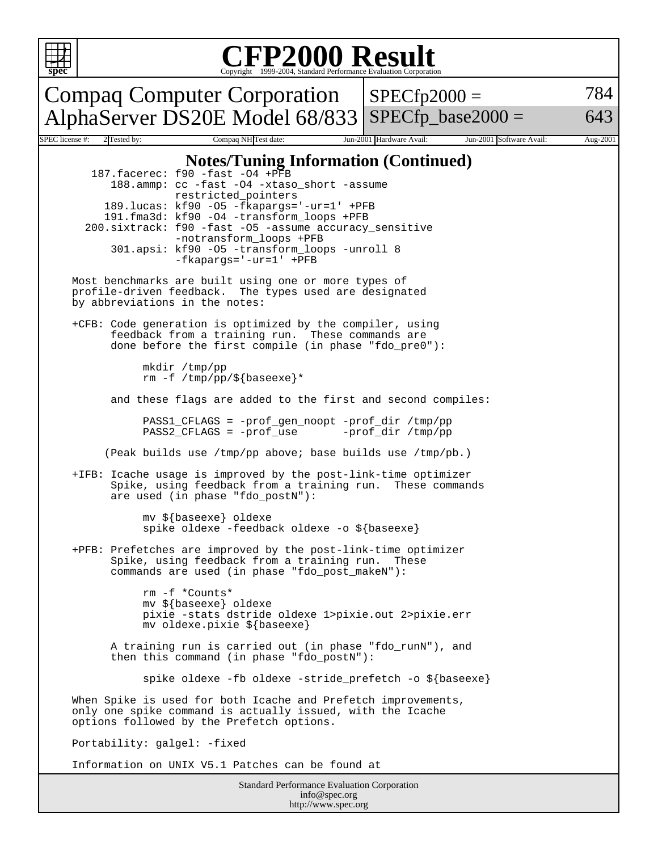

## Copyright ©1999-2004, Standard Performance Evaluation Corporation

Compaq Computer Corporation AlphaServer DS20E Model 68/833  $SPECfp2000 =$ SPECfp base2000  $=$ 784 643 SPEC license #: 2 Tested by: Compaq NH Test date: Jun-2001 Hardware Avail: Jun-2001 Software Avail: Aug-2001 **Notes/Tuning Information (Continued)** 187.facerec: f90 -fast -O4 +PFB 188.ammp: cc -fast -O4 -xtaso\_short -assume restricted\_pointers 189.lucas: kf90 -O5 -fkapargs='-ur=1' +PFB 191.fma3d: kf90 -O4 -transform\_loops +PFB 200.sixtrack: f90 -fast -O5 -assume accuracy\_sensitive -notransform\_loops +PFB 301.apsi: kf90 -O5 -transform\_loops -unroll 8 -fkapargs='-ur=1' +PFB Most benchmarks are built using one or more types of profile-driven feedback. The types used are designated by abbreviations in the notes: +CFB: Code generation is optimized by the compiler, using feedback from a training run. These commands are done before the first compile (in phase "fdo\_pre0"): mkdir /tmp/pp rm -f /tmp/pp/\${baseexe}\* and these flags are added to the first and second compiles: PASS1\_CFLAGS = -prof\_gen\_noopt -prof\_dir /tmp/pp PASS2\_CFLAGS = -prof\_use -prof\_dir /tmp/pp (Peak builds use /tmp/pp above; base builds use /tmp/pb.) +IFB: Icache usage is improved by the post-link-time optimizer Spike, using feedback from a training run. These commands are used (in phase "fdo\_postN"): mv \${baseexe} oldexe spike oldexe -feedback oldexe -o \${baseexe} +PFB: Prefetches are improved by the post-link-time optimizer Spike, using feedback from a training run. These commands are used (in phase "fdo\_post\_makeN"): rm -f \*Counts\* mv \${baseexe} oldexe pixie -stats dstride oldexe 1>pixie.out 2>pixie.err mv oldexe.pixie \${baseexe} A training run is carried out (in phase "fdo\_runN"), and then this command (in phase "fdo\_postN"): spike oldexe -fb oldexe -stride\_prefetch -o \${baseexe} When Spike is used for both Icache and Prefetch improvements, only one spike command is actually issued, with the Icache options followed by the Prefetch options. Portability: galgel: -fixed Information on UNIX V5.1 Patches can be found at

Standard Performance Evaluation Corporation info@spec.org http://www.spec.org